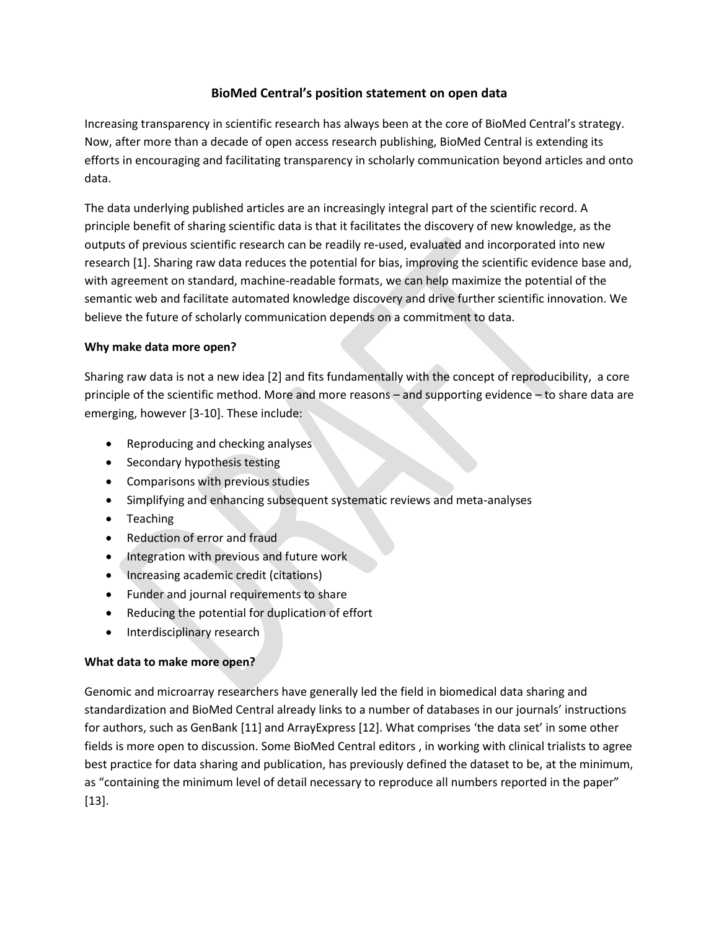# **BioMed Central's position statement on open data**

Increasing transparency in scientific research has always been at the core of BioMed Central's strategy. Now, after more than a decade of open access research publishing, BioMed Central is extending its efforts in encouraging and facilitating transparency in scholarly communication beyond articles and onto data.

The data underlying published articles are an increasingly integral part of the scientific record. A principle benefit of sharing scientific data is that it facilitates the discovery of new knowledge, as the outputs of previous scientific research can be readily re-used, evaluated and incorporated into new research [1]. Sharing raw data reduces the potential for bias, improving the scientific evidence base and, with agreement on standard, machine-readable formats, we can help maximize the potential of the semantic web and facilitate automated knowledge discovery and drive further scientific innovation. We believe the future of scholarly communication depends on a commitment to data.

### **Why make data more open?**

Sharing raw data is not a new idea [2] and fits fundamentally with the concept of reproducibility, a core principle of the scientific method. More and more reasons – and supporting evidence – to share data are emerging, however [3-10]. These include:

- Reproducing and checking analyses
- Secondary hypothesis testing
- Comparisons with previous studies
- Simplifying and enhancing subsequent systematic reviews and meta-analyses
- Teaching
- Reduction of error and fraud
- Integration with previous and future work
- Increasing academic credit (citations)
- Funder and journal requirements to share
- Reducing the potential for duplication of effort
- Interdisciplinary research

## **What data to make more open?**

Genomic and microarray researchers have generally led the field in biomedical data sharing and standardization and BioMed Central already links to a number of databases in our journals' instructions for authors, such as GenBank [11] and ArrayExpress [12]. What comprises 'the data set' in some other fields is more open to discussion. Some BioMed Central editors , in working with clinical trialists to agree best practice for data sharing and publication, has previously defined the dataset to be, at the minimum, as "containing the minimum level of detail necessary to reproduce all numbers reported in the paper" [13].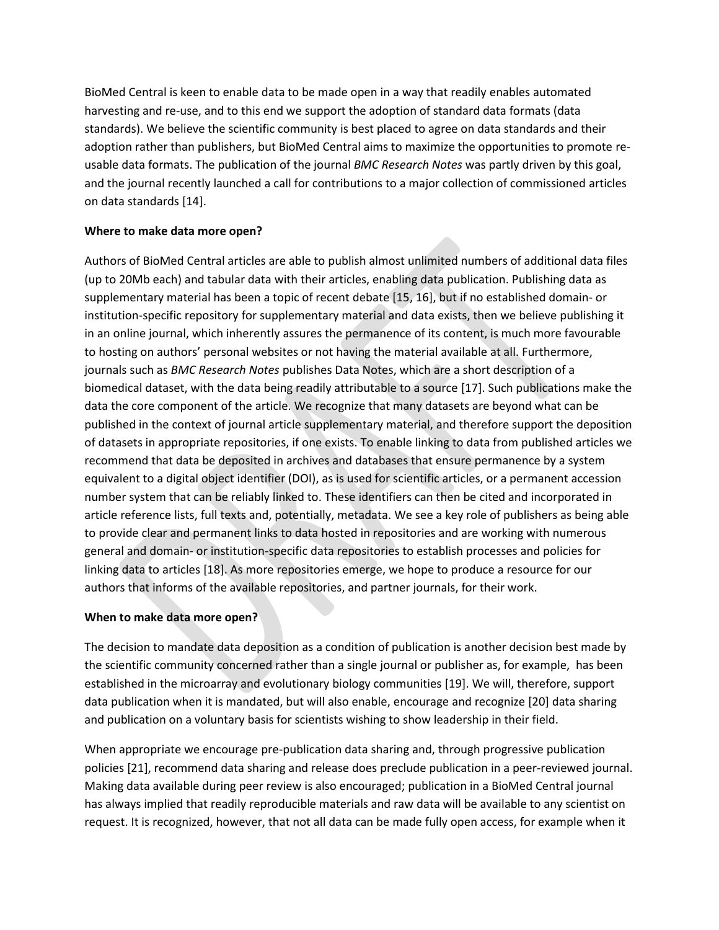BioMed Central is keen to enable data to be made open in a way that readily enables automated harvesting and re-use, and to this end we support the adoption of standard data formats (data standards). We believe the scientific community is best placed to agree on data standards and their adoption rather than publishers, but BioMed Central aims to maximize the opportunities to promote reusable data formats. The publication of the journal *BMC Research Notes* was partly driven by this goal, and the journal recently launched a call for contributions to a major collection of commissioned articles on data standards [14].

### **Where to make data more open?**

Authors of BioMed Central articles are able to publish almost unlimited numbers of additional data files (up to 20Mb each) and tabular data with their articles, enabling data publication. Publishing data as supplementary material has been a topic of recent debate [15, 16], but if no established domain- or institution-specific repository for supplementary material and data exists, then we believe publishing it in an online journal, which inherently assures the permanence of its content, is much more favourable to hosting on authors' personal websites or not having the material available at all. Furthermore, journals such as *BMC Research Notes* publishes Data Notes, which are a short description of a biomedical dataset, with the data being readily attributable to a source [17]. Such publications make the data the core component of the article. We recognize that many datasets are beyond what can be published in the context of journal article supplementary material, and therefore support the deposition of datasets in appropriate repositories, if one exists. To enable linking to data from published articles we recommend that data be deposited in archives and databases that ensure permanence by a system equivalent to a digital object identifier (DOI), as is used for scientific articles, or a permanent accession number system that can be reliably linked to. These identifiers can then be cited and incorporated in article reference lists, full texts and, potentially, metadata. We see a key role of publishers as being able to provide clear and permanent links to data hosted in repositories and are working with numerous general and domain- or institution-specific data repositories to establish processes and policies for linking data to articles [18]. As more repositories emerge, we hope to produce a resource for our authors that informs of the available repositories, and partner journals, for their work.

## **When to make data more open?**

The decision to mandate data deposition as a condition of publication is another decision best made by the scientific community concerned rather than a single journal or publisher as, for example, has been established in the microarray and evolutionary biology communities [19]. We will, therefore, support data publication when it is mandated, but will also enable, encourage and recognize [20] data sharing and publication on a voluntary basis for scientists wishing to show leadership in their field.

When appropriate we encourage pre-publication data sharing and, through progressive publication policies [21], recommend data sharing and release does preclude publication in a peer-reviewed journal. Making data available during peer review is also encouraged; publication in a BioMed Central journal has always implied that readily reproducible materials and raw data will be available to any scientist on request. It is recognized, however, that not all data can be made fully open access, for example when it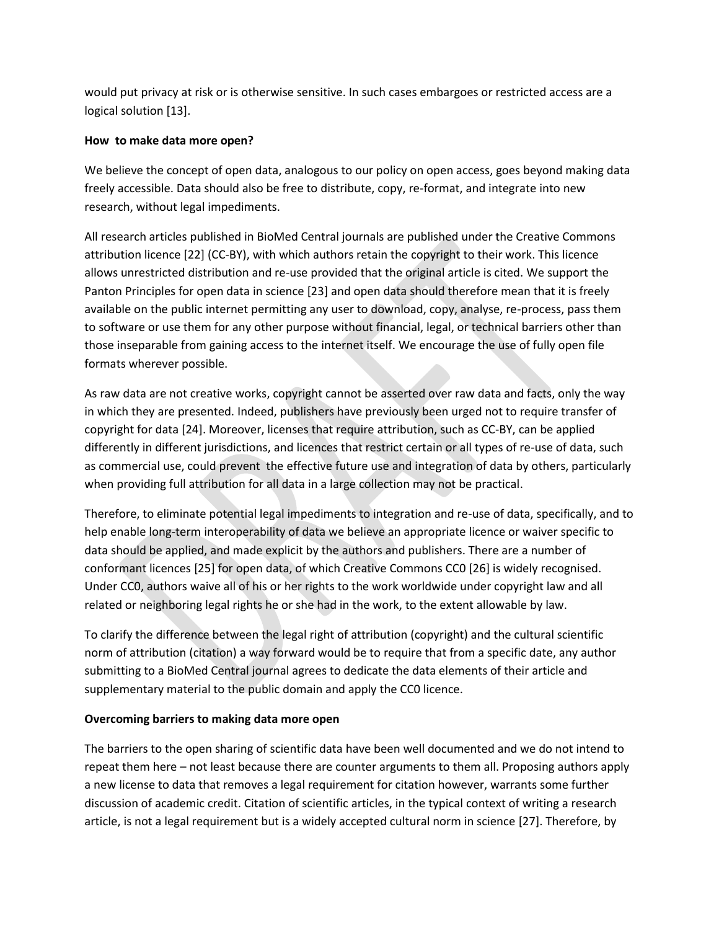would put privacy at risk or is otherwise sensitive. In such cases embargoes or restricted access are a logical solution [13].

### **How to make data more open?**

We believe the concept of open data, analogous to our policy on open access, goes beyond making data freely accessible. Data should also be free to distribute, copy, re-format, and integrate into new research, without legal impediments.

All research articles published in BioMed Central journals are published under the Creative Commons attribution licence [22] (CC-BY), with which authors retain the copyright to their work. This licence allows unrestricted distribution and re-use provided that the original article is cited. We support the Panton Principles for open data in science [23] and open data should therefore mean that it is freely available on the public internet permitting any user to download, copy, analyse, re-process, pass them to software or use them for any other purpose without financial, legal, or technical barriers other than those inseparable from gaining access to the internet itself. We encourage the use of fully open file formats wherever possible.

As raw data are not creative works, copyright cannot be asserted over raw data and facts, only the way in which they are presented. Indeed, publishers have previously been urged not to require transfer of copyright for data [24]. Moreover, licenses that require attribution, such as CC-BY, can be applied differently in different jurisdictions, and licences that restrict certain or all types of re-use of data, such as commercial use, could prevent the effective future use and integration of data by others, particularly when providing full attribution for all data in a large collection may not be practical.

Therefore, to eliminate potential legal impediments to integration and re-use of data, specifically, and to help enable long-term interoperability of data we believe an appropriate licence or waiver specific to data should be applied, and made explicit by the authors and publishers. There are a number of conformant licences [25] for open data, of which Creative Commons CC0 [26] is widely recognised. Under CC0, authors waive all of his or her rights to the work worldwide under copyright law and all related or neighboring legal rights he or she had in the work, to the extent allowable by law.

To clarify the difference between the legal right of attribution (copyright) and the cultural scientific norm of attribution (citation) a way forward would be to require that from a specific date, any author submitting to a BioMed Central journal agrees to dedicate the data elements of their article and supplementary material to the public domain and apply the CC0 licence.

## **Overcoming barriers to making data more open**

The barriers to the open sharing of scientific data have been well documented and we do not intend to repeat them here – not least because there are counter arguments to them all. Proposing authors apply a new license to data that removes a legal requirement for citation however, warrants some further discussion of academic credit. Citation of scientific articles, in the typical context of writing a research article, is not a legal requirement but is a widely accepted cultural norm in science [27]. Therefore, by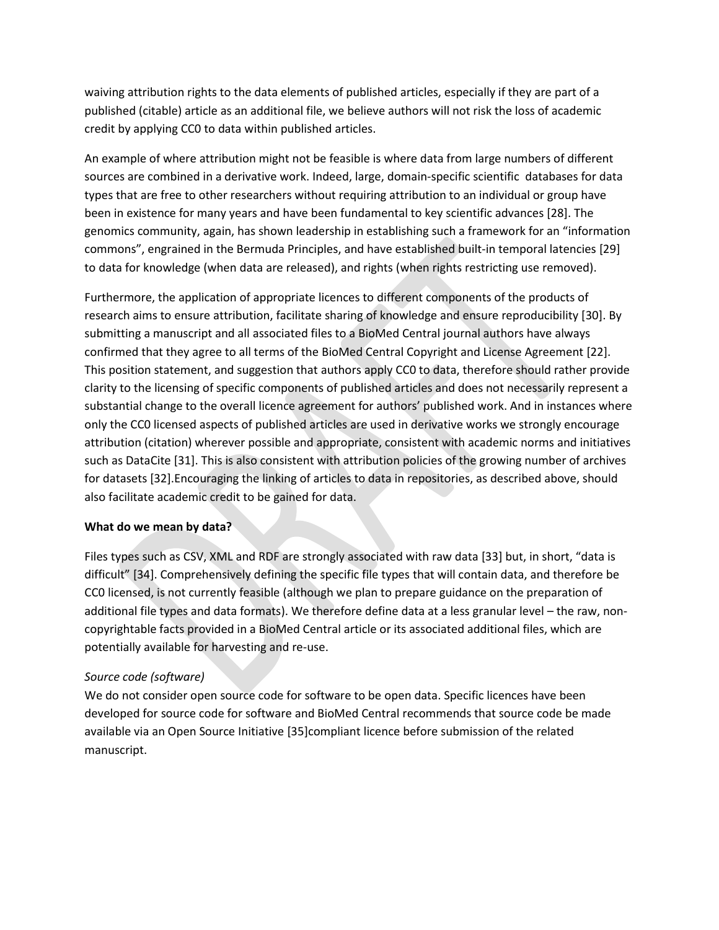waiving attribution rights to the data elements of published articles, especially if they are part of a published (citable) article as an additional file, we believe authors will not risk the loss of academic credit by applying CC0 to data within published articles.

An example of where attribution might not be feasible is where data from large numbers of different sources are combined in a derivative work. Indeed, large, domain-specific scientific databases for data types that are free to other researchers without requiring attribution to an individual or group have been in existence for many years and have been fundamental to key scientific advances [28]. The genomics community, again, has shown leadership in establishing such a framework for an "information commons", engrained in the Bermuda Principles, and have established built-in temporal latencies [29] to data for knowledge (when data are released), and rights (when rights restricting use removed).

Furthermore, the application of appropriate licences to different components of the products of research aims to ensure attribution, facilitate sharing of knowledge and ensure reproducibility [30]. By submitting a manuscript and all associated files to a BioMed Central journal authors have always confirmed that they agree to all terms of the BioMed Central Copyright and License Agreement [22]. This position statement, and suggestion that authors apply CC0 to data, therefore should rather provide clarity to the licensing of specific components of published articles and does not necessarily represent a substantial change to the overall licence agreement for authors' published work. And in instances where only the CC0 licensed aspects of published articles are used in derivative works we strongly encourage attribution (citation) wherever possible and appropriate, consistent with academic norms and initiatives such as DataCite [31]. This is also consistent with attribution policies of the growing number of archives for datasets [32].Encouraging the linking of articles to data in repositories, as described above, should also facilitate academic credit to be gained for data.

#### **What do we mean by data?**

Files types such as CSV, XML and RDF are strongly associated with raw data [33] but, in short, "data is difficult" [34]. Comprehensively defining the specific file types that will contain data, and therefore be CC0 licensed, is not currently feasible (although we plan to prepare guidance on the preparation of additional file types and data formats). We therefore define data at a less granular level – the raw, noncopyrightable facts provided in a BioMed Central article or its associated additional files, which are potentially available for harvesting and re-use.

## *Source code (software)*

We do not consider open source code for software to be open data. Specific licences have been developed for source code for software and BioMed Central recommends that source code be made available via an Open Source Initiative [35]compliant licence before submission of the related manuscript.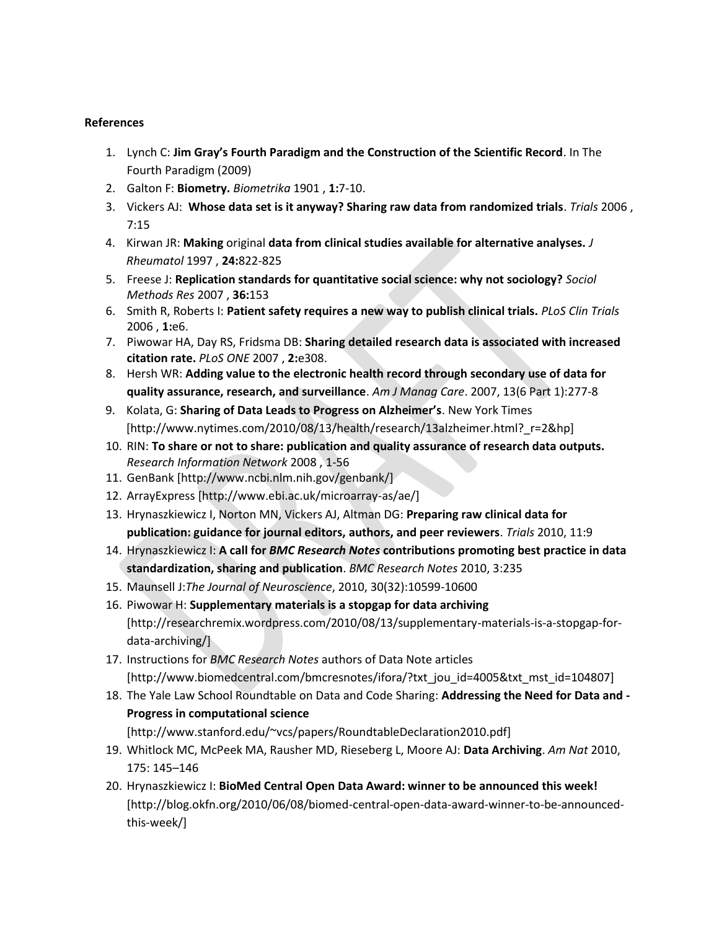#### **References**

- 1. Lynch C: **Jim Gray's Fourth Paradigm and the Construction of the Scientific Record**. In The Fourth Paradigm (2009)
- 2. Galton F: **Biometry.** *Biometrika* 1901 , **1:**7-10.
- 3. Vickers AJ: **Whose data set is it anyway? Sharing raw data from randomized trials**. *Trials* 2006 , 7:15
- 4. Kirwan JR: **Making** original **data from clinical studies available for alternative analyses.** *J Rheumatol* 1997 , **24:**822-825
- 5. Freese J: **Replication standards for quantitative social science: why not sociology?** *Sociol Methods Res* 2007 , **36:**153
- 6. Smith R, Roberts I: **Patient safety requires a new way to publish clinical trials.** *PLoS Clin Trials* 2006 , **1:**e6.
- 7. Piwowar HA, Day RS, Fridsma DB: **Sharing detailed research data is associated with increased citation rate.** *PLoS ONE* 2007 , **2:**e308.
- 8. Hersh WR: **Adding value to the electronic health record through secondary use of data for quality assurance, research, and surveillance**. *Am J Manag Care*. 2007, 13(6 Part 1):277-8
- 9. Kolata, G: **Sharing of Data Leads to Progress on Alzheimer's**. New York Times [http://www.nytimes.com/2010/08/13/health/research/13alzheimer.html?\_r=2&hp]
- 10. RIN: **To share or not to share: publication and quality assurance of research data outputs.**  *Research Information Network* 2008 , 1-56
- 11. GenBank [http://www.ncbi.nlm.nih.gov/genbank/]
- 12. ArrayExpress [http://www.ebi.ac.uk/microarray-as/ae/]
- 13. Hrynaszkiewicz I, Norton MN, Vickers AJ, Altman DG: **Preparing raw clinical data for publication: guidance for journal editors, authors, and peer reviewers**. *Trials* 2010, 11:9
- 14. Hrynaszkiewicz I: **A call for** *BMC Research Notes* **contributions promoting best practice in data standardization, sharing and publication**. *BMC Research Notes* 2010, 3:235
- 15. Maunsell J:*The Journal of Neuroscience*, 2010, 30(32):10599-10600
- 16. Piwowar H: **Supplementary materials is a stopgap for data archiving** [http://researchremix.wordpress.com/2010/08/13/supplementary-materials-is-a-stopgap-fordata-archiving/]
- 17. Instructions for *BMC Research Notes* authors of Data Note articles [http://www.biomedcentral.com/bmcresnotes/ifora/?txt\_jou\_id=4005&txt\_mst\_id=104807]
- 18. The Yale Law School Roundtable on Data and Code Sharing: **Addressing the Need for Data and - Progress in computational science**

[http://www.stanford.edu/~vcs/papers/RoundtableDeclaration2010.pdf]

- 19. Whitlock MC, McPeek MA, Rausher MD, Rieseberg L, Moore AJ: **Data Archiving**. *Am Nat* 2010, 175: 145–146
- 20. Hrynaszkiewicz I: **BioMed Central Open Data Award: winner to be announced this week!** [http://blog.okfn.org/2010/06/08/biomed-central-open-data-award-winner-to-be-announcedthis-week/]